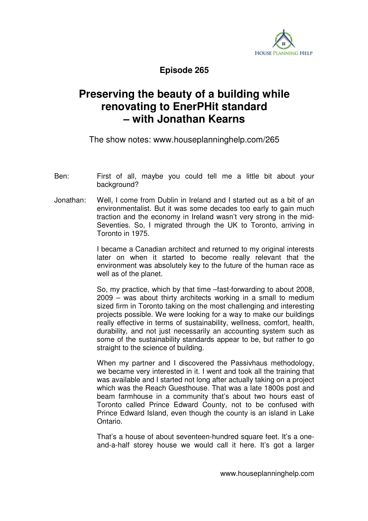

**Episode 265** 

## **Preserving the beauty of a building while renovating to EnerPHit standard – with Jonathan Kearns**

The show notes: www.houseplanninghelp.com/265

- Ben: First of all, maybe you could tell me a little bit about your background?
- Jonathan: Well, I come from Dublin in Ireland and I started out as a bit of an environmentalist. But it was some decades too early to gain much traction and the economy in Ireland wasn't very strong in the mid-Seventies. So, I migrated through the UK to Toronto, arriving in Toronto in 1975.

 I became a Canadian architect and returned to my original interests later on when it started to become really relevant that the environment was absolutely key to the future of the human race as well as of the planet.

 So, my practice, which by that time –fast-forwarding to about 2008, 2009 – was about thirty architects working in a small to medium sized firm in Toronto taking on the most challenging and interesting projects possible. We were looking for a way to make our buildings really effective in terms of sustainability, wellness, comfort, health, durability, and not just necessarily an accounting system such as some of the sustainability standards appear to be, but rather to go straight to the science of building.

When my partner and I discovered the Passivhaus methodology, we became very interested in it. I went and took all the training that was available and I started not long after actually taking on a project which was the Reach Guesthouse. That was a late 1800s post and beam farmhouse in a community that's about two hours east of Toronto called Prince Edward County, not to be confused with Prince Edward Island, even though the county is an island in Lake Ontario.

 That's a house of about seventeen-hundred square feet. It's a oneand-a-half storey house we would call it here. It's got a larger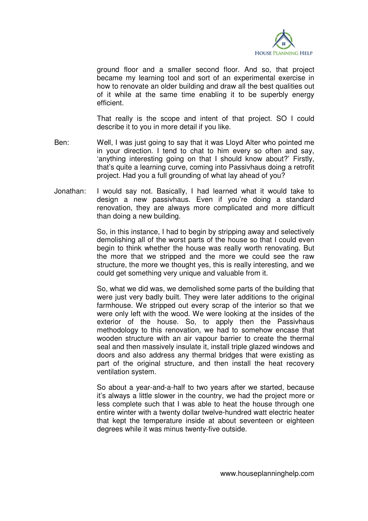

ground floor and a smaller second floor. And so, that project became my learning tool and sort of an experimental exercise in how to renovate an older building and draw all the best qualities out of it while at the same time enabling it to be superbly energy efficient.

 That really is the scope and intent of that project. SO I could describe it to you in more detail if you like.

- Ben: Well, I was just going to say that it was Lloyd Alter who pointed me in your direction. I tend to chat to him every so often and say, 'anything interesting going on that I should know about?' Firstly, that's quite a learning curve, coming into Passivhaus doing a retrofit project. Had you a full grounding of what lay ahead of you?
- Jonathan: I would say not. Basically, I had learned what it would take to design a new passivhaus. Even if you're doing a standard renovation, they are always more complicated and more difficult than doing a new building.

 So, in this instance, I had to begin by stripping away and selectively demolishing all of the worst parts of the house so that I could even begin to think whether the house was really worth renovating. But the more that we stripped and the more we could see the raw structure, the more we thought yes, this is really interesting, and we could get something very unique and valuable from it.

 So, what we did was, we demolished some parts of the building that were just very badly built. They were later additions to the original farmhouse. We stripped out every scrap of the interior so that we were only left with the wood. We were looking at the insides of the exterior of the house. So, to apply then the Passivhaus methodology to this renovation, we had to somehow encase that wooden structure with an air vapour barrier to create the thermal seal and then massively insulate it, install triple glazed windows and doors and also address any thermal bridges that were existing as part of the original structure, and then install the heat recovery ventilation system.

 So about a year-and-a-half to two years after we started, because it's always a little slower in the country, we had the project more or less complete such that I was able to heat the house through one entire winter with a twenty dollar twelve-hundred watt electric heater that kept the temperature inside at about seventeen or eighteen degrees while it was minus twenty-five outside.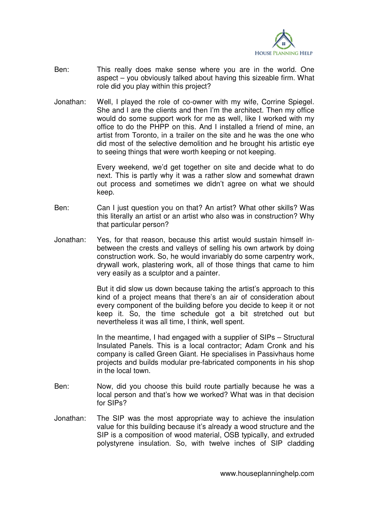

- Ben: This really does make sense where you are in the world. One aspect – you obviously talked about having this sizeable firm. What role did you play within this project?
- Jonathan: Well, I played the role of co-owner with my wife, Corrine Spiegel. She and I are the clients and then I'm the architect. Then my office would do some support work for me as well, like I worked with my office to do the PHPP on this. And I installed a friend of mine, an artist from Toronto, in a trailer on the site and he was the one who did most of the selective demolition and he brought his artistic eye to seeing things that were worth keeping or not keeping.

 Every weekend, we'd get together on site and decide what to do next. This is partly why it was a rather slow and somewhat drawn out process and sometimes we didn't agree on what we should keep.

- Ben: Can I just question you on that? An artist? What other skills? Was this literally an artist or an artist who also was in construction? Why that particular person?
- Jonathan: Yes, for that reason, because this artist would sustain himself inbetween the crests and valleys of selling his own artwork by doing construction work. So, he would invariably do some carpentry work, drywall work, plastering work, all of those things that came to him very easily as a sculptor and a painter.

 But it did slow us down because taking the artist's approach to this kind of a project means that there's an air of consideration about every component of the building before you decide to keep it or not keep it. So, the time schedule got a bit stretched out but nevertheless it was all time, I think, well spent.

 In the meantime, I had engaged with a supplier of SIPs – Structural Insulated Panels. This is a local contractor; Adam Cronk and his company is called Green Giant. He specialises in Passivhaus home projects and builds modular pre-fabricated components in his shop in the local town.

- Ben: Now, did you choose this build route partially because he was a local person and that's how we worked? What was in that decision for SIPs?
- Jonathan: The SIP was the most appropriate way to achieve the insulation value for this building because it's already a wood structure and the SIP is a composition of wood material, OSB typically, and extruded polystyrene insulation. So, with twelve inches of SIP cladding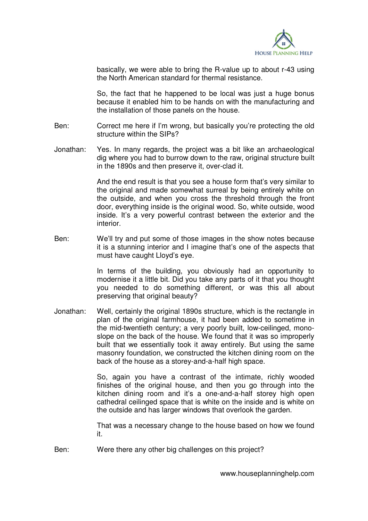

basically, we were able to bring the R-value up to about r-43 using the North American standard for thermal resistance.

 So, the fact that he happened to be local was just a huge bonus because it enabled him to be hands on with the manufacturing and the installation of those panels on the house.

- Ben: Correct me here if I'm wrong, but basically you're protecting the old structure within the SIPs?
- Jonathan: Yes. In many regards, the project was a bit like an archaeological dig where you had to burrow down to the raw, original structure built in the 1890s and then preserve it, over-clad it.

 And the end result is that you see a house form that's very similar to the original and made somewhat surreal by being entirely white on the outside, and when you cross the threshold through the front door, everything inside is the original wood. So, white outside, wood inside. It's a very powerful contrast between the exterior and the interior.

Ben: We'll try and put some of those images in the show notes because it is a stunning interior and I imagine that's one of the aspects that must have caught Lloyd's eye.

> In terms of the building, you obviously had an opportunity to modernise it a little bit. Did you take any parts of it that you thought you needed to do something different, or was this all about preserving that original beauty?

Jonathan: Well, certainly the original 1890s structure, which is the rectangle in plan of the original farmhouse, it had been added to sometime in the mid-twentieth century; a very poorly built, low-ceilinged, monoslope on the back of the house. We found that it was so improperly built that we essentially took it away entirely. But using the same masonry foundation, we constructed the kitchen dining room on the back of the house as a storey-and-a-half high space.

> So, again you have a contrast of the intimate, richly wooded finishes of the original house, and then you go through into the kitchen dining room and it's a one-and-a-half storey high open cathedral ceilinged space that is white on the inside and is white on the outside and has larger windows that overlook the garden.

> That was a necessary change to the house based on how we found it.

Ben: Were there any other big challenges on this project?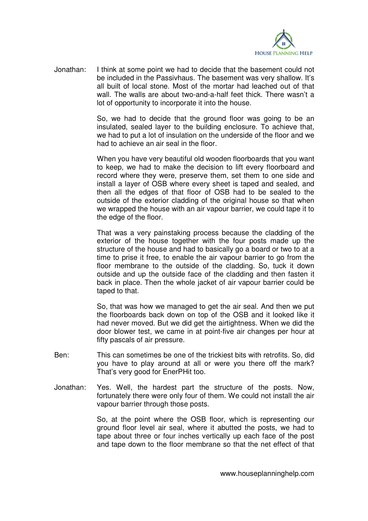

Jonathan: I think at some point we had to decide that the basement could not be included in the Passivhaus. The basement was very shallow. It's all built of local stone. Most of the mortar had leached out of that wall. The walls are about two-and-a-half feet thick. There wasn't a lot of opportunity to incorporate it into the house.

> So, we had to decide that the ground floor was going to be an insulated, sealed layer to the building enclosure. To achieve that, we had to put a lot of insulation on the underside of the floor and we had to achieve an air seal in the floor.

> When you have very beautiful old wooden floorboards that you want to keep, we had to make the decision to lift every floorboard and record where they were, preserve them, set them to one side and install a layer of OSB where every sheet is taped and sealed, and then all the edges of that floor of OSB had to be sealed to the outside of the exterior cladding of the original house so that when we wrapped the house with an air vapour barrier, we could tape it to the edge of the floor.

> That was a very painstaking process because the cladding of the exterior of the house together with the four posts made up the structure of the house and had to basically go a board or two to at a time to prise it free, to enable the air vapour barrier to go from the floor membrane to the outside of the cladding. So, tuck it down outside and up the outside face of the cladding and then fasten it back in place. Then the whole jacket of air vapour barrier could be taped to that.

> So, that was how we managed to get the air seal. And then we put the floorboards back down on top of the OSB and it looked like it had never moved. But we did get the airtightness. When we did the door blower test, we came in at point-five air changes per hour at fifty pascals of air pressure.

- Ben: This can sometimes be one of the trickiest bits with retrofits. So, did you have to play around at all or were you there off the mark? That's very good for EnerPHit too.
- Jonathan: Yes. Well, the hardest part the structure of the posts. Now, fortunately there were only four of them. We could not install the air vapour barrier through those posts.

 So, at the point where the OSB floor, which is representing our ground floor level air seal, where it abutted the posts, we had to tape about three or four inches vertically up each face of the post and tape down to the floor membrane so that the net effect of that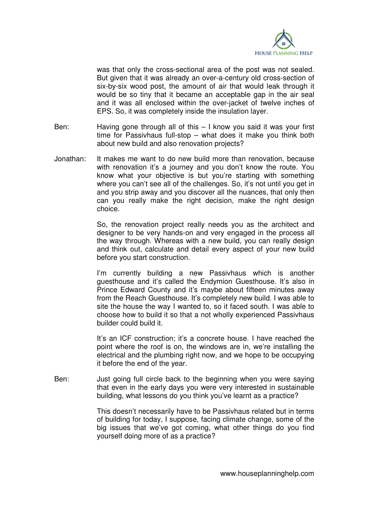

was that only the cross-sectional area of the post was not sealed. But given that it was already an over-a-century old cross-section of six-by-six wood post, the amount of air that would leak through it would be so tiny that it became an acceptable gap in the air seal and it was all enclosed within the over-jacket of twelve inches of EPS. So, it was completely inside the insulation layer.

- Ben: Having gone through all of this I know you said it was your first time for Passivhaus full-stop – what does it make you think both about new build and also renovation projects?
- Jonathan: It makes me want to do new build more than renovation, because with renovation it's a journey and you don't know the route. You know what your objective is but you're starting with something where you can't see all of the challenges. So, it's not until you get in and you strip away and you discover all the nuances, that only then can you really make the right decision, make the right design choice.

 So, the renovation project really needs you as the architect and designer to be very hands-on and very engaged in the process all the way through. Whereas with a new build, you can really design and think out, calculate and detail every aspect of your new build before you start construction.

I'm currently building a new Passivhaus which is another guesthouse and it's called the Endymion Guesthouse. It's also in Prince Edward County and it's maybe about fifteen minutes away from the Reach Guesthouse. It's completely new build. I was able to site the house the way I wanted to, so it faced south. I was able to choose how to build it so that a not wholly experienced Passivhaus builder could build it.

 It's an ICF construction; it's a concrete house. I have reached the point where the roof is on, the windows are in, we're installing the electrical and the plumbing right now, and we hope to be occupying it before the end of the year.

Ben: Just going full circle back to the beginning when you were saying that even in the early days you were very interested in sustainable building, what lessons do you think you've learnt as a practice?

> This doesn't necessarily have to be Passivhaus related but in terms of building for today, I suppose, facing climate change, some of the big issues that we've got coming, what other things do you find yourself doing more of as a practice?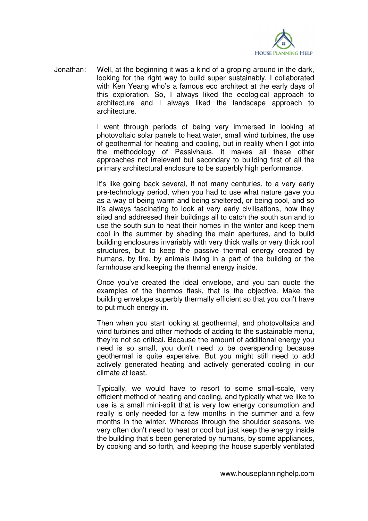

Jonathan: Well, at the beginning it was a kind of a groping around in the dark, looking for the right way to build super sustainably. I collaborated with Ken Yeang who's a famous eco architect at the early days of this exploration. So, I always liked the ecological approach to architecture and I always liked the landscape approach to architecture.

> I went through periods of being very immersed in looking at photovoltaic solar panels to heat water, small wind turbines, the use of geothermal for heating and cooling, but in reality when I got into the methodology of Passivhaus, it makes all these other approaches not irrelevant but secondary to building first of all the primary architectural enclosure to be superbly high performance.

> It's like going back several, if not many centuries, to a very early pre-technology period, when you had to use what nature gave you as a way of being warm and being sheltered, or being cool, and so it's always fascinating to look at very early civilisations, how they sited and addressed their buildings all to catch the south sun and to use the south sun to heat their homes in the winter and keep them cool in the summer by shading the main apertures, and to build building enclosures invariably with very thick walls or very thick roof structures, but to keep the passive thermal energy created by humans, by fire, by animals living in a part of the building or the farmhouse and keeping the thermal energy inside.

> Once you've created the ideal envelope, and you can quote the examples of the thermos flask, that is the objective. Make the building envelope superbly thermally efficient so that you don't have to put much energy in.

> Then when you start looking at geothermal, and photovoltaics and wind turbines and other methods of adding to the sustainable menu, they're not so critical. Because the amount of additional energy you need is so small, you don't need to be overspending because geothermal is quite expensive. But you might still need to add actively generated heating and actively generated cooling in our climate at least.

> Typically, we would have to resort to some small-scale, very efficient method of heating and cooling, and typically what we like to use is a small mini-split that is very low energy consumption and really is only needed for a few months in the summer and a few months in the winter. Whereas through the shoulder seasons, we very often don't need to heat or cool but just keep the energy inside the building that's been generated by humans, by some appliances, by cooking and so forth, and keeping the house superbly ventilated